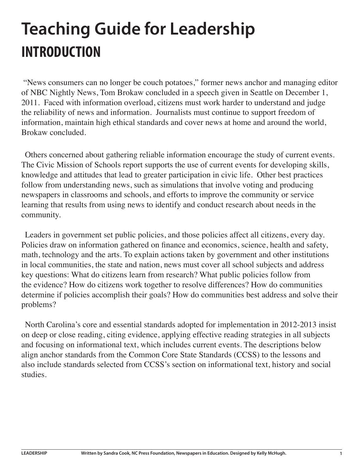# **Teaching Guide for Leadership INTRODUCTION**

 "News consumers can no longer be couch potatoes," former news anchor and managing editor of NBC Nightly News, Tom Brokaw concluded in a speech given in Seattle on December 1, 2011. Faced with information overload, citizens must work harder to understand and judge the reliability of news and information. Journalists must continue to support freedom of information, maintain high ethical standards and cover news at home and around the world, Brokaw concluded.

Others concerned about gathering reliable information encourage the study of current events. The Civic Mission of Schools report supports the use of current events for developing skills, knowledge and attitudes that lead to greater participation in civic life. Other best practices follow from understanding news, such as simulations that involve voting and producing newspapers in classrooms and schools, and efforts to improve the community or service learning that results from using news to identify and conduct research about needs in the community.

Leaders in government set public policies, and those policies affect all citizens, every day. Policies draw on information gathered on finance and economics, science, health and safety, math, technology and the arts. To explain actions taken by government and other institutions in local communities, the state and nation, news must cover all school subjects and address key questions: What do citizens learn from research? What public policies follow from the evidence? How do citizens work together to resolve differences? How do communities determine if policies accomplish their goals? How do communities best address and solve their problems?

North Carolina's core and essential standards adopted for implementation in 2012-2013 insist on deep or close reading, citing evidence, applying effective reading strategies in all subjects and focusing on informational text, which includes current events. The descriptions below align anchor standards from the Common Core State Standards (CCSS) to the lessons and also include standards selected from CCSS's section on informational text, history and social studies.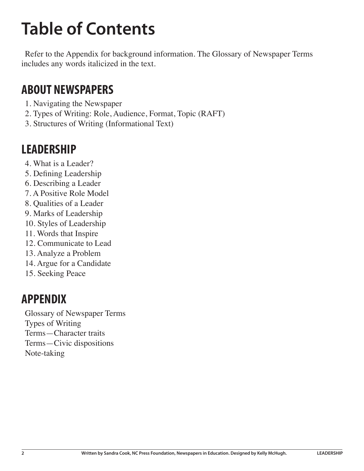# **Table of Contents**

Refer to the Appendix for background information. The Glossary of Newspaper Terms includes any words italicized in the text.

## **ABOUT NEWSPAPERS**

- 1. Navigating the Newspaper
- 2. Types of Writing: Role, Audience, Format, Topic (RAFT)
- 3. Structures of Writing (Informational Text)

# **LEADERSHIP**

- 4. What is a Leader?
- 5. Defining Leadership
- 6. Describing a Leader
- 7. A Positive Role Model
- 8. Qualities of a Leader
- 9. Marks of Leadership
- 10. Styles of Leadership
- 11. Words that Inspire
- 12. Communicate to Lead
- 13. Analyze a Problem
- 14. Argue for a Candidate
- 15. Seeking Peace

# **APPENDIX**

Glossary of Newspaper Terms Types of Writing Terms—Character traits Terms—Civic dispositions Note-taking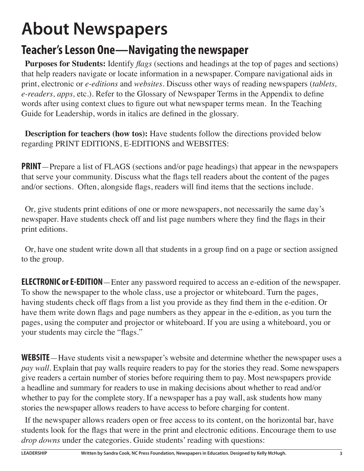# **About Newspapers**

# **Teacher's Lesson One—Navigating the newspaper**

**Purposes for Students:** Identify *flags* (sections and headings at the top of pages and sections) that help readers navigate or locate information in a newspaper. Compare navigational aids in print, electronic or *e-editions* and *websites.* Discuss other ways of reading newspapers (*tablets, e-readers, apps,* etc.). Refer to the Glossary of Newspaper Terms in the Appendix to define words after using context clues to figure out what newspaper terms mean. In the Teaching Guide for Leadership, words in italics are defined in the glossary.

**Description for teachers (how tos):** Have students follow the directions provided below regarding PRINT EDITIONS, E-EDITIONS and WEBSITES:

**PRINT**—Prepare a list of FLAGS (sections and/or page headings) that appear in the newspapers that serve your community. Discuss what the flags tell readers about the content of the pages and/or sections. Often, alongside flags, readers will find items that the sections include.

Or, give students print editions of one or more newspapers, not necessarily the same day's newspaper. Have students check off and list page numbers where they find the flags in their print editions.

Or, have one student write down all that students in a group find on a page or section assigned to the group.

**ELECTRONIC or E-EDITION**—Enter any password required to access an e-edition of the newspaper. To show the newspaper to the whole class, use a projector or whiteboard. Turn the pages, having students check off flags from a list you provide as they find them in the e-edition. Or have them write down flags and page numbers as they appear in the e-edition, as you turn the pages, using the computer and projector or whiteboard. If you are using a whiteboard, you or your students may circle the "flags."

**WEBSITE**—Have students visit a newspaper's website and determine whether the newspaper uses a *pay wall*. Explain that pay walls require readers to pay for the stories they read. Some newspapers give readers a certain number of stories before requiring them to pay. Most newspapers provide a headline and summary for readers to use in making decisions about whether to read and/or whether to pay for the complete story. If a newspaper has a pay wall, ask students how many stories the newspaper allows readers to have access to before charging for content.

If the newspaper allows readers open or free access to its content, on the horizontal bar, have students look for the flags that were in the print and electronic editions. Encourage them to use *drop downs* under the categories. Guide students' reading with questions: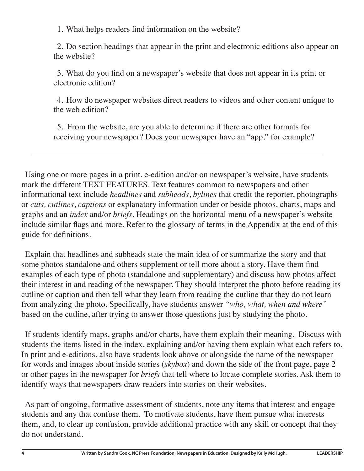1. What helps readers find information on the website?

2. Do section headings that appear in the print and electronic editions also appear on the website?

3. What do you find on a newspaper's website that does not appear in its print or electronic edition?

4. How do newspaper websites direct readers to videos and other content unique to the web edition?

5. From the website, are you able to determine if there are other formats for receiving your newspaper? Does your newspaper have an "app," for example?

Using one or more pages in a print, e-edition and/or on newspaper's website, have students mark the different TEXT FEATURES. Text features common to newspapers and other informational text include *headlines* and *subheads*, *bylines* that credit the reporter, photographs or *cuts, cutlines*, *captions* or explanatory information under or beside photos, charts, maps and graphs and an *index* and/or *briefs*. Headings on the horizontal menu of a newspaper's website include similar flags and more. Refer to the glossary of terms in the Appendix at the end of this guide for definitions.

Explain that headlines and subheads state the main idea of or summarize the story and that some photos standalone and others supplement or tell more about a story. Have them find examples of each type of photo (standalone and supplementary) and discuss how photos affect their interest in and reading of the newspaper. They should interpret the photo before reading its cutline or caption and then tell what they learn from reading the cutline that they do not learn from analyzing the photo. Specifically, have students answer *"who, what, when and where"* based on the cutline, after trying to answer those questions just by studying the photo.

If students identify maps, graphs and/or charts, have them explain their meaning. Discuss with students the items listed in the index, explaining and/or having them explain what each refers to. In print and e-editions, also have students look above or alongside the name of the newspaper for words and images about inside stories (*skybox*) and down the side of the front page, page 2 or other pages in the newspaper for *briefs* that tell where to locate complete stories. Ask them to identify ways that newspapers draw readers into stories on their websites.

As part of ongoing, formative assessment of students, note any items that interest and engage students and any that confuse them. To motivate students, have them pursue what interests them, and, to clear up confusion, provide additional practice with any skill or concept that they do not understand.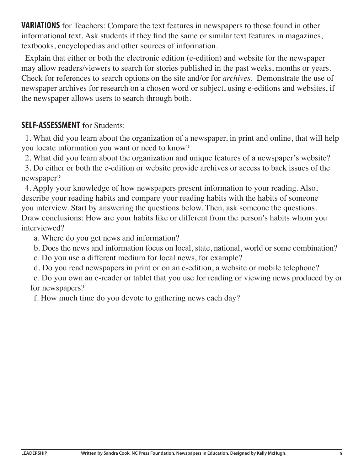**VARIATIONS** for Teachers: Compare the text features in newspapers to those found in other informational text. Ask students if they find the same or similar text features in magazines, textbooks, encyclopedias and other sources of information.

Explain that either or both the electronic edition (e-edition) and website for the newspaper may allow readers/viewers to search for stories published in the past weeks, months or years. Check for references to search options on the site and/or for *archives*. Demonstrate the use of newspaper archives for research on a chosen word or subject, using e-editions and websites, if the newspaper allows users to search through both.

#### **SELF-ASSESSMENT** for Students:

1. What did you learn about the organization of a newspaper, in print and online, that will help you locate information you want or need to know?

2. What did you learn about the organization and unique features of a newspaper's website?

3. Do either or both the e-edition or website provide archives or access to back issues of the newspaper?

4. Apply your knowledge of how newspapers present information to your reading. Also, describe your reading habits and compare your reading habits with the habits of someone you interview. Start by answering the questions below. Then, ask someone the questions. Draw conclusions: How are your habits like or different from the person's habits whom you interviewed?

a. Where do you get news and information?

b. Does the news and information focus on local, state, national, world or some combination?

c. Do you use a different medium for local news, for example?

d. Do you read newspapers in print or on an e-edition, a website or mobile telephone?

e. Do you own an e-reader or tablet that you use for reading or viewing news produced by or for newspapers?

f. How much time do you devote to gathering news each day?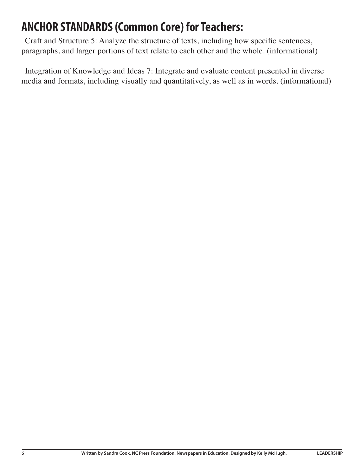# **ANCHOR STANDARDS (Common Core) for Teachers:**

Craft and Structure 5: Analyze the structure of texts, including how specific sentences, paragraphs, and larger portions of text relate to each other and the whole. (informational)

Integration of Knowledge and Ideas 7: Integrate and evaluate content presented in diverse media and formats, including visually and quantitatively, as well as in words. (informational)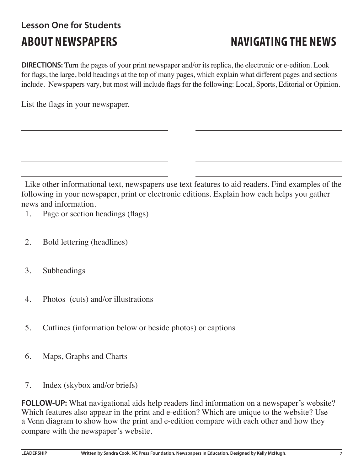# **Lesson One for Students**

# **ABOUT NEWSPAPERS NAVIGATING THE NEWS**

**DIRECTIONS:** Turn the pages of your print newspaper and/or its replica, the electronic or e-edition. Look for flags, the large, bold headings at the top of many pages, which explain what different pages and sections include. Newspapers vary, but most will include flags for the following: Local, Sports, Editorial or Opinion.

List the flags in your newspaper.

Like other informational text, newspapers use text features to aid readers. Find examples of the following in your newspaper, print or electronic editions. Explain how each helps you gather news and information.

1. Page or section headings (flags)

- 2. Bold lettering (headlines)
- 3. Subheadings
- 4. Photos (cuts) and/or illustrations
- 5. Cutlines (information below or beside photos) or captions
- 6. Maps, Graphs and Charts
- 7. Index (skybox and/or briefs)

**FOLLOW-UP:** What navigational aids help readers find information on a newspaper's website? Which features also appear in the print and e-edition? Which are unique to the website? Use a Venn diagram to show how the print and e-edition compare with each other and how they compare with the newspaper's website.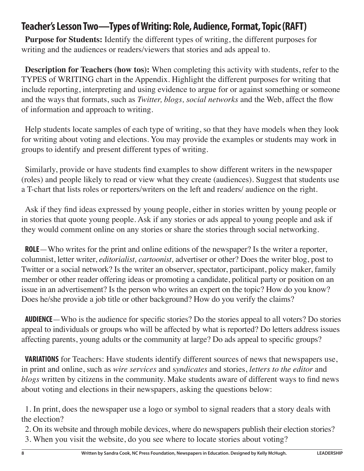### **Teacher's Lesson Two—Types of Writing: Role, Audience, Format, Topic (RAFT)**

**Purpose for Students:** Identify the different types of writing, the different purposes for writing and the audiences or readers/viewers that stories and ads appeal to.

**Description for Teachers (how tos):** When completing this activity with students, refer to the TYPES of WRITING chart in the Appendix. Highlight the different purposes for writing that include reporting, interpreting and using evidence to argue for or against something or someone and the ways that formats, such as *Twitter, blogs, social networks* and the Web, affect the flow of information and approach to writing.

Help students locate samples of each type of writing, so that they have models when they look for writing about voting and elections. You may provide the examples or students may work in groups to identify and present different types of writing.

Similarly, provide or have students find examples to show different writers in the newspaper (roles) and people likely to read or view what they create (audiences). Suggest that students use a T-chart that lists roles or reporters/writers on the left and readers/ audience on the right.

Ask if they find ideas expressed by young people, either in stories written by young people or in stories that quote young people. Ask if any stories or ads appeal to young people and ask if they would comment online on any stories or share the stories through social networking.

**ROLE**—Who writes for the print and online editions of the newspaper? Is the writer a reporter, columnist, letter writer, *editorialist, cartoonist,* advertiser or other? Does the writer blog, post to Twitter or a social network? Is the writer an observer, spectator, participant, policy maker, family member or other reader offering ideas or promoting a candidate, political party or position on an issue in an advertisement? Is the person who writes an expert on the topic? How do you know? Does he/she provide a job title or other background? How do you verify the claims?

**AUDIENCE**—Who is the audience for specific stories? Do the stories appeal to all voters? Do stories appeal to individuals or groups who will be affected by what is reported? Do letters address issues affecting parents, young adults or the community at large? Do ads appeal to specific groups?

**VARIATIONS** for Teachers: Have students identify different sources of news that newspapers use, in print and online, such as *wire services* and s*yndicates* and stories, *letters to the editor* and *blogs* written by citizens in the community. Make students aware of different ways to find news about voting and elections in their newspapers, asking the questions below:

1. In print, does the newspaper use a logo or symbol to signal readers that a story deals with the election?

2. On its website and through mobile devices, where do newspapers publish their election stories? 3. When you visit the website, do you see where to locate stories about voting?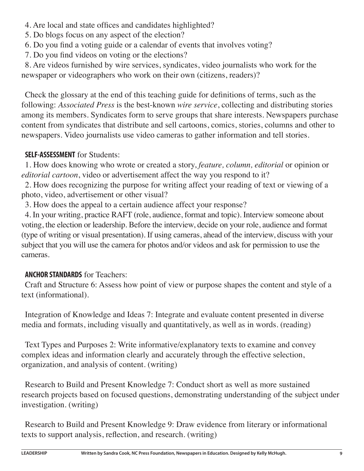- 4. Are local and state offices and candidates highlighted?
- 5. Do blogs focus on any aspect of the election?
- 6. Do you find a voting guide or a calendar of events that involves voting?
- 7. Do you find videos on voting or the elections?

8. Are videos furnished by wire services, syndicates, video journalists who work for the newspaper or videographers who work on their own (citizens, readers)?

Check the glossary at the end of this teaching guide for definitions of terms, such as the following: *Associated Press* is the best-known *wire service*, collecting and distributing stories among its members. Syndicates form to serve groups that share interests. Newspapers purchase content from syndicates that distribute and sell cartoons, comics, stories, columns and other to newspapers. Video journalists use video cameras to gather information and tell stories.

#### **SELF-ASSESSMENT** for Students:

1. How does knowing who wrote or created a story, *feature, column, editorial* or opinion or *editorial cartoon*, video or advertisement affect the way you respond to it?

2. How does recognizing the purpose for writing affect your reading of text or viewing of a photo, video, advertisement or other visual?

3. How does the appeal to a certain audience affect your response?

4. In your writing, practice RAFT (role, audience, format and topic). Interview someone about voting, the election or leadership. Before the interview, decide on your role, audience and format (type of writing or visual presentation). If using cameras, ahead of the interview, discuss with your subject that you will use the camera for photos and/or videos and ask for permission to use the cameras.

#### **ANCHOR STANDARDS** for Teachers:

Craft and Structure 6: Assess how point of view or purpose shapes the content and style of a text (informational).

Integration of Knowledge and Ideas 7: Integrate and evaluate content presented in diverse media and formats, including visually and quantitatively, as well as in words. (reading)

Text Types and Purposes 2: Write informative/explanatory texts to examine and convey complex ideas and information clearly and accurately through the effective selection, organization, and analysis of content. (writing)

Research to Build and Present Knowledge 7: Conduct short as well as more sustained research projects based on focused questions, demonstrating understanding of the subject under investigation. (writing)

Research to Build and Present Knowledge 9: Draw evidence from literary or informational texts to support analysis, reflection, and research. (writing)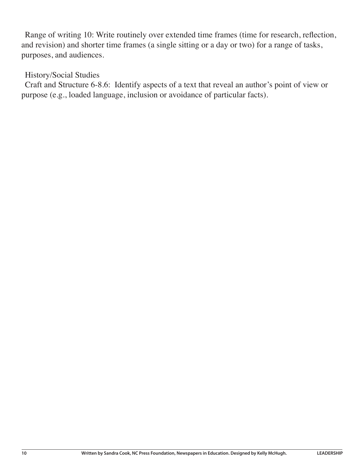Range of writing 10: Write routinely over extended time frames (time for research, reflection, and revision) and shorter time frames (a single sitting or a day or two) for a range of tasks, purposes, and audiences.

#### History/Social Studies

Craft and Structure 6-8.6: Identify aspects of a text that reveal an author's point of view or purpose (e.g., loaded language, inclusion or avoidance of particular facts).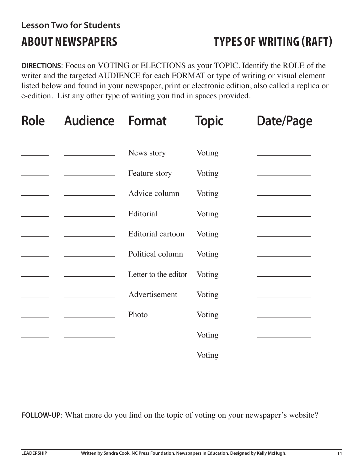# **Lesson Two for Students**

# **ABOUT NEWSPAPERS TYPES OF WRITING (RAFT)**

**DIRECTIONS**: Focus on VOTING or ELECTIONS as your TOPIC. Identify the ROLE of the writer and the targeted AUDIENCE for each FORMAT or type of writing or visual element listed below and found in your newspaper, print or electronic edition, also called a replica or e-edition. List any other type of writing you find in spaces provided.

| <b>Role</b> | <b>Audience Format</b> |                      | <b>Topic</b> | <b>Date/Page</b> |  |
|-------------|------------------------|----------------------|--------------|------------------|--|
|             |                        | News story           | Voting       |                  |  |
|             |                        | Feature story        | Voting       |                  |  |
|             |                        | Advice column        | Voting       |                  |  |
|             |                        | Editorial            | Voting       |                  |  |
|             |                        | Editorial cartoon    | Voting       |                  |  |
|             |                        | Political column     | Voting       |                  |  |
|             |                        | Letter to the editor | Voting       |                  |  |
|             |                        | Advertisement        | Voting       |                  |  |
|             |                        | Photo                | Voting       |                  |  |
|             |                        |                      | Voting       |                  |  |
|             |                        |                      | Voting       |                  |  |

**FOLLOW-UP**: What more do you find on the topic of voting on your newspaper's website?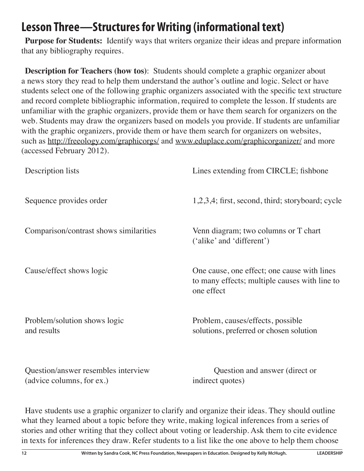# **Lesson Three—Structures for Writing (informational text)**

**Purpose for Students:** Identify ways that writers organize their ideas and prepare information that any bibliography requires.

**Description for Teachers (how tos)**: Students should complete a graphic organizer about a news story they read to help them understand the author's outline and logic. Select or have students select one of the following graphic organizers associated with the specific text structure and record complete bibliographic information, required to complete the lesson. If students are unfamiliar with the graphic organizers, provide them or have them search for organizers on the web. Students may draw the organizers based on models you provide. If students are unfamiliar with the graphic organizers, provide them or have them search for organizers on websites, such as http://freeology.com/graphicorgs/ and www.eduplace.com/graphicorganizer/ and more (accessed February 2012).

| Description lists                                                | Lines extending from CIRCLE; fishbone                                                                      |
|------------------------------------------------------------------|------------------------------------------------------------------------------------------------------------|
| Sequence provides order                                          | 1,2,3,4; first, second, third; storyboard; cycle                                                           |
| Comparison/contrast shows similarities                           | Venn diagram; two columns or T chart<br>('alike' and 'different')                                          |
| Cause/effect shows logic                                         | One cause, one effect; one cause with lines<br>to many effects; multiple causes with line to<br>one effect |
| Problem/solution shows logic<br>and results                      | Problem, causes/effects, possible<br>solutions, preferred or chosen solution                               |
| Question/answer resembles interview<br>(advice columns, for ex.) | Question and answer (direct or<br>indirect quotes)                                                         |

Have students use a graphic organizer to clarify and organize their ideas. They should outline what they learned about a topic before they write, making logical inferences from a series of stories and other writing that they collect about voting or leadership. Ask them to cite evidence in texts for inferences they draw. Refer students to a list like the one above to help them choose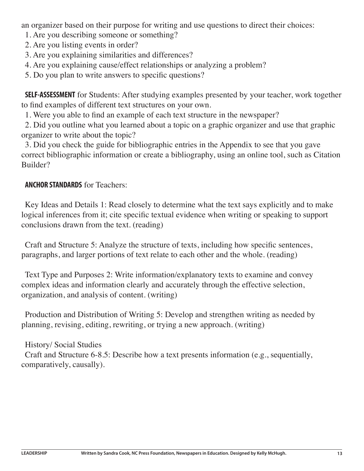an organizer based on their purpose for writing and use questions to direct their choices:

1. Are you describing someone or something?

2. Are you listing events in order?

3. Are you explaining similarities and differences?

4. Are you explaining cause/effect relationships or analyzing a problem?

5. Do you plan to write answers to specific questions?

**SELF-ASSESSMENT** for Students: After studying examples presented by your teacher, work together to find examples of different text structures on your own.

1. Were you able to find an example of each text structure in the newspaper?

2. Did you outline what you learned about a topic on a graphic organizer and use that graphic organizer to write about the topic?

3. Did you check the guide for bibliographic entries in the Appendix to see that you gave correct bibliographic information or create a bibliography, using an online tool, such as Citation Builder?

#### **ANCHOR STANDARDS** for Teachers:

Key Ideas and Details 1: Read closely to determine what the text says explicitly and to make logical inferences from it; cite specific textual evidence when writing or speaking to support conclusions drawn from the text. (reading)

Craft and Structure 5: Analyze the structure of texts, including how specific sentences, paragraphs, and larger portions of text relate to each other and the whole. (reading)

Text Type and Purposes 2: Write information/explanatory texts to examine and convey complex ideas and information clearly and accurately through the effective selection, organization, and analysis of content. (writing)

Production and Distribution of Writing 5: Develop and strengthen writing as needed by planning, revising, editing, rewriting, or trying a new approach. (writing)

History/ Social Studies Craft and Structure 6-8.5: Describe how a text presents information (e.g., sequentially, comparatively, causally).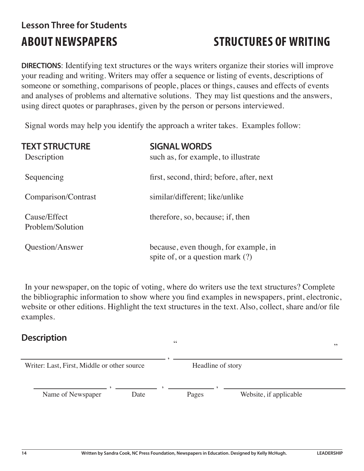# **Lesson Three for Students**

# **ABOUT NEWSPAPERS STRUCTURES OF WRITING**

" "

**DIRECTIONS**: Identifying text structures or the ways writers organize their stories will improve your reading and writing. Writers may offer a sequence or listing of events, descriptions of someone or something, comparisons of people, places or things, causes and effects of events and analyses of problems and alternative solutions. They may list questions and the answers, using direct quotes or paraphrases, given by the person or persons interviewed.

Signal words may help you identify the approach a writer takes. Examples follow:

| <b>TEXT STRUCTURE</b><br>Description | <b>SIGNAL WORDS</b><br>such as, for example, to illustrate                |
|--------------------------------------|---------------------------------------------------------------------------|
| Sequencing                           | first, second, third; before, after, next                                 |
| Comparison/Contrast                  | similar/different; like/unlike                                            |
| Cause/Effect<br>Problem/Solution     | therefore, so, because; if, then                                          |
| Question/Answer                      | because, even though, for example, in<br>spite of, or a question mark (?) |

In your newspaper, on the topic of voting, where do writers use the text structures? Complete the bibliographic information to show where you find examples in newspapers, print, electronic, website or other editions. Highlight the text structures in the text. Also, collect, share and/or file examples.

#### **Description**

| Writer: Last, First, Middle or other source |      | Headline of story |  |                        |  |
|---------------------------------------------|------|-------------------|--|------------------------|--|
| Name of Newspaper                           | Date | Pages             |  | Website, if applicable |  |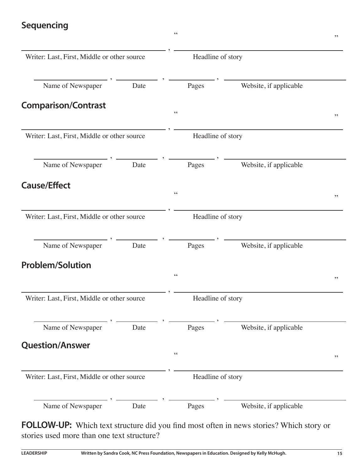#### **Sequencing**

| Writer: Last, First, Middle or other source |      | Headline of story             |                        |    |
|---------------------------------------------|------|-------------------------------|------------------------|----|
| Name of Newspaper                           | Date | Pages                         | Website, if applicable |    |
| <b>Comparison/Contrast</b>                  |      | $\zeta$ $\zeta$               |                        | ,, |
| Writer: Last, First, Middle or other source |      | Headline of story             |                        |    |
| Name of Newspaper                           | Date | Pages                         | Website, if applicable |    |
| <b>Cause/Effect</b>                         |      | $\zeta$ $\zeta$               |                        | ,, |
| Writer: Last, First, Middle or other source |      | Headline of story             |                        |    |
| Name of Newspaper                           | Date | Pages                         | Website, if applicable |    |
| <b>Problem/Solution</b>                     |      | $\mbox{\bf 6}$ $\mbox{\bf 6}$ |                        | ,, |
| Writer: Last, First, Middle or other source |      | Headline of story             |                        |    |
| Name of Newspaper                           | Date | Pages                         | Website, if applicable |    |
| <b>Question/Answer</b>                      |      | $\mbox{\bf 6}$                |                        | ,, |
| Writer: Last, First, Middle or other source |      | Headline of story             |                        |    |
| Name of Newspaper                           | Date | Pages                         | Website, if applicable |    |
|                                             |      |                               |                        |    |

 $\cdots$  "  $\cdots$  "  $\cdots$  "  $\cdots$  "  $\cdots$  "  $\cdots$  "  $\cdots$  "  $\cdots$  "  $\cdots$  "  $\cdots$  "  $\cdots$  "  $\cdots$  "  $\cdots$  "  $\cdots$  "  $\cdots$  "  $\cdots$  "  $\cdots$  "  $\cdots$  "  $\cdots$  "  $\cdots$  "  $\cdots$  "  $\cdots$  "  $\cdots$  "  $\cdots$  "  $\cdots$  "  $\cdots$  "  $\cdots$  "  $\cdots$ 

**FOLLOW-UP:** Which text structure did you find most often in news stories? Which story or stories used more than one text structure?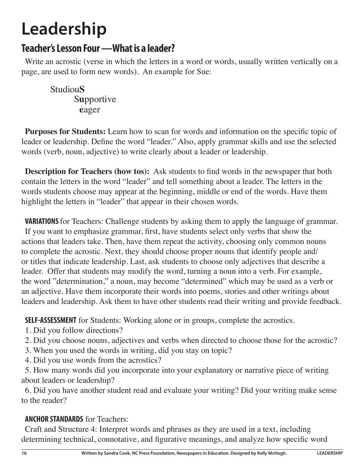# **Leadership**

### **Teacher's Lesson Four —What is a leader?**

Write an acrostic (verse in which the letters in a word or words, usually written vertically on a page, are used to form new words). An example for Sue:

Studiou**S** S**u**pportive **e**ager

**Purposes for Students:** Learn how to scan for words and information on the specific topic of leader or leadership. Define the word "leader." Also, apply grammar skills and use the selected words (verb, noun, adjective) to write clearly about a leader or leadership.

**Description for Teachers (how tos):** Ask students to find words in the newspaper that both contain the letters in the word "leader" and tell something about a leader. The letters in the words students choose may appear at the beginning, middle or end of the words. Have them highlight the letters in "leader" that appear in their chosen words.

**VARIATIONS** for Teachers: Challenge students by asking them to apply the language of grammar. If you want to emphasize grammar, first, have students select only verbs that show the actions that leaders take. Then, have them repeat the activity, choosing only common nouns to complete the acrostic. Next, they should choose proper nouns that identify people and/ or titles that indicate leadership. Last, ask students to choose only adjectives that describe a leader. Offer that students may modify the word, turning a noun into a verb. For example, the word "determination," a noun, may become "determined" which may be used as a verb or an adjective. Have them incorporate their words into poems, stories and other writings about leaders and leadership. Ask them to have other students read their writing and provide feedback.

**SELF-ASSESSMENT** for Students: Working alone or in groups, complete the acrostics.

1. Did you follow directions?

- 2. Did you choose nouns, adjectives and verbs when directed to choose those for the acrostic?
- 3. When you used the words in writing, did you stay on topic?
- 4. Did you use words from the acrostics?

5. How many words did you incorporate into your explanatory or narrative piece of writing about leaders or leadership?

6. Did you have another student read and evaluate your writing? Did your writing make sense to the reader?

#### **ANCHOR STANDARDS** for Teachers:

Craft and Structure 4: Interpret words and phrases as they are used in a text, including determining technical, connotative, and figurative meanings, and analyze how specific word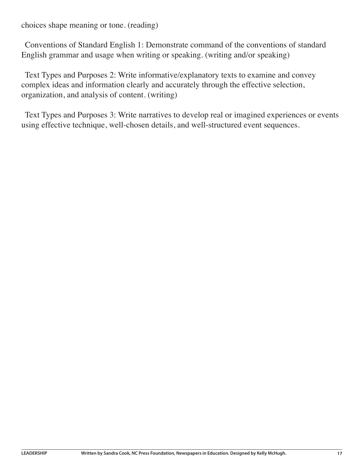choices shape meaning or tone. (reading)

Conventions of Standard English 1: Demonstrate command of the conventions of standard English grammar and usage when writing or speaking. (writing and/or speaking)

Text Types and Purposes 2: Write informative/explanatory texts to examine and convey complex ideas and information clearly and accurately through the effective selection, organization, and analysis of content. (writing)

Text Types and Purposes 3: Write narratives to develop real or imagined experiences or events using effective technique, well-chosen details, and well-structured event sequences.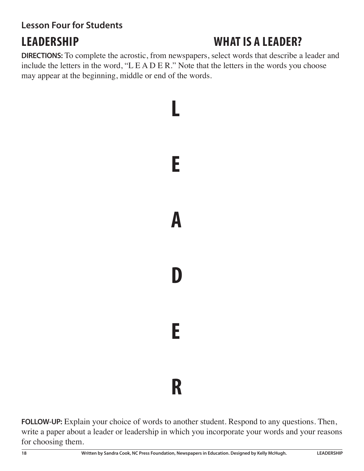#### **Lesson Four for Students**

# **LEADERSHIP WHAT IS A LEADER?**

**DIRECTIONS:** To complete the acrostic, from newspapers, select words that describe a leader and include the letters in the word, "L E A D E R." Note that the letters in the words you choose may appear at the beginning, middle or end of the words.



**FOLLOW-UP:** Explain your choice of words to another student. Respond to any questions. Then, write a paper about a leader or leadership in which you incorporate your words and your reasons for choosing them.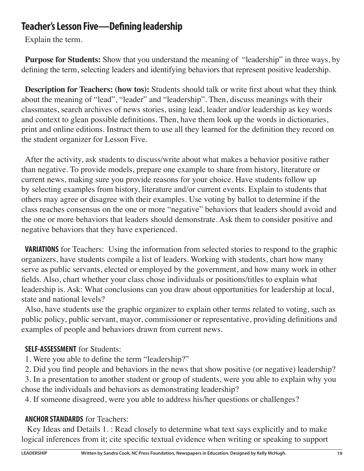### **Teacher's Lesson Five—Defining leadership**

Explain the term.

**Purpose for Students:** Show that you understand the meaning of "leadership" in three ways, by defining the term, selecting leaders and identifying behaviors that represent positive leadership.

**Description for Teachers: (how tos):** Students should talk or write first about what they think about the meaning of "lead", "leader" and "leadership". Then, discuss meanings with their classmates, search archives of news stories, using lead, leader and/or leadership as key words and context to glean possible definitions. Then, have them look up the words in dictionaries, print and online editions. Instruct them to use all they learned for the definition they record on the student organizer for Lesson Five.

After the activity, ask students to discuss/write about what makes a behavior positive rather than negative. To provide models, prepare one example to share from history, literature or current news, making sure you provide reasons for your choice. Have students follow up by selecting examples from history, literature and/or current events. Explain to students that others may agree or disagree with their examples. Use voting by ballot to determine if the class reaches consensus on the one or more "negative" behaviors that leaders should avoid and the one or more behaviors that leaders should demonstrate. Ask them to consider positive and negative behaviors that they have experienced.

**VARIATIONS** for Teachers: Using the information from selected stories to respond to the graphic organizers, have students compile a list of leaders. Working with students, chart how many serve as public servants, elected or employed by the government, and how many work in other fields. Also, chart whether your class chose individuals or positions/titles to explain what leadership is. Ask: What conclusions can you draw about opportunities for leadership at local, state and national levels?

Also, have students use the graphic organizer to explain other terms related to voting, such as public policy, public servant, mayor, commissioner or representative, providing definitions and examples of people and behaviors drawn from current news.

#### **SELF-ASSESSMENT** for Students:

1. Were you able to define the term "leadership?"

2. Did you find people and behaviors in the news that show positive (or negative) leadership?

3. In a presentation to another student or group of students, were you able to explain why you chose the individuals and behaviors as demonstrating leadership?

4. If someone disagreed, were you able to address his/her questions or challenges?

#### **ANCHOR STANDARDS** for Teachers:

 Key Ideas and Details 1. : Read closely to determine what text says explicitly and to make logical inferences from it; cite specific textual evidence when writing or speaking to support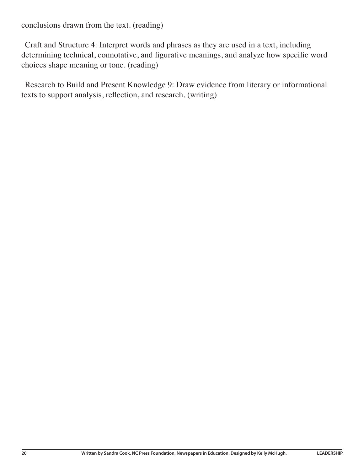conclusions drawn from the text. (reading)

Craft and Structure 4: Interpret words and phrases as they are used in a text, including determining technical, connotative, and figurative meanings, and analyze how specific word choices shape meaning or tone. (reading)

Research to Build and Present Knowledge 9: Draw evidence from literary or informational texts to support analysis, reflection, and research. (writing)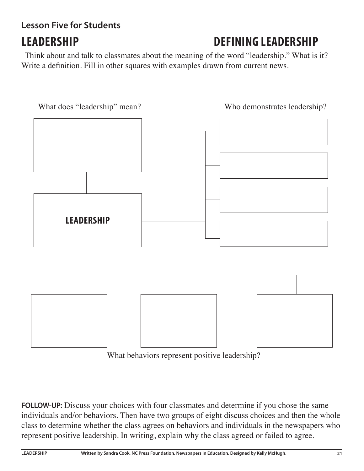# **Lesson Five for Students**

# **LEADERSHIP DEFINING LEADERSHIP**

 Think about and talk to classmates about the meaning of the word "leadership." What is it? Write a definition. Fill in other squares with examples drawn from current news.



What behaviors represent positive leadership?

**FOLLOW-UP:** Discuss your choices with four classmates and determine if you chose the same individuals and/or behaviors. Then have two groups of eight discuss choices and then the whole class to determine whether the class agrees on behaviors and individuals in the newspapers who represent positive leadership. In writing, explain why the class agreed or failed to agree.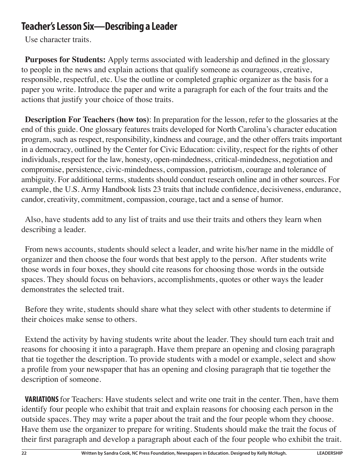### **Teacher's Lesson Six—Describing a Leader**

Use character traits.

**Purposes for Students:** Apply terms associated with leadership and defined in the glossary to people in the news and explain actions that qualify someone as courageous, creative, responsible, respectful, etc. Use the outline or completed graphic organizer as the basis for a paper you write. Introduce the paper and write a paragraph for each of the four traits and the actions that justify your choice of those traits.

**Description For Teachers (how tos)**: In preparation for the lesson, refer to the glossaries at the end of this guide. One glossary features traits developed for North Carolina's character education program, such as respect, responsibility, kindness and courage, and the other offers traits important in a democracy, outlined by the Center for Civic Education: civility, respect for the rights of other individuals, respect for the law, honesty, open-mindedness, critical-mindedness, negotiation and compromise, persistence, civic-mindedness, compassion, patriotism, courage and tolerance of ambiguity. For additional terms, students should conduct research online and in other sources. For example, the U.S. Army Handbook lists 23 traits that include confidence, decisiveness, endurance, candor, creativity, commitment, compassion, courage, tact and a sense of humor.

Also, have students add to any list of traits and use their traits and others they learn when describing a leader.

From news accounts, students should select a leader, and write his/her name in the middle of organizer and then choose the four words that best apply to the person. After students write those words in four boxes, they should cite reasons for choosing those words in the outside spaces. They should focus on behaviors, accomplishments, quotes or other ways the leader demonstrates the selected trait.

Before they write, students should share what they select with other students to determine if their choices make sense to others.

Extend the activity by having students write about the leader. They should turn each trait and reasons for choosing it into a paragraph. Have them prepare an opening and closing paragraph that tie together the description. To provide students with a model or example, select and show a profile from your newspaper that has an opening and closing paragraph that tie together the description of someone.

**VARIATIONS** for Teachers: Have students select and write one trait in the center. Then, have them identify four people who exhibit that trait and explain reasons for choosing each person in the outside spaces. They may write a paper about the trait and the four people whom they choose. Have them use the organizer to prepare for writing. Students should make the trait the focus of their first paragraph and develop a paragraph about each of the four people who exhibit the trait.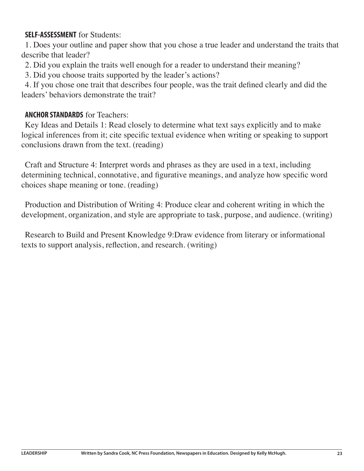#### **SELF-ASSESSMENT** for Students:

1. Does your outline and paper show that you chose a true leader and understand the traits that describe that leader?

2. Did you explain the traits well enough for a reader to understand their meaning?

3. Did you choose traits supported by the leader's actions?

4. If you chose one trait that describes four people, was the trait defined clearly and did the leaders' behaviors demonstrate the trait?

#### **ANCHOR STANDARDS** for Teachers:

Key Ideas and Details 1: Read closely to determine what text says explicitly and to make logical inferences from it; cite specific textual evidence when writing or speaking to support conclusions drawn from the text. (reading)

Craft and Structure 4: Interpret words and phrases as they are used in a text, including determining technical, connotative, and figurative meanings, and analyze how specific word choices shape meaning or tone. (reading)

Production and Distribution of Writing 4: Produce clear and coherent writing in which the development, organization, and style are appropriate to task, purpose, and audience. (writing)

Research to Build and Present Knowledge 9:Draw evidence from literary or informational texts to support analysis, reflection, and research. (writing)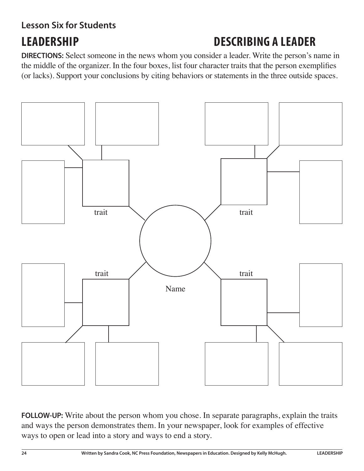# **Lesson Six for Students**

# **LEADERSHIP DESCRIBING A LEADER**

**DIRECTIONS:** Select someone in the news whom you consider a leader. Write the person's name in the middle of the organizer. In the four boxes, list four character traits that the person exemplifies (or lacks). Support your conclusions by citing behaviors or statements in the three outside spaces.



**FOLLOW-UP:** Write about the person whom you chose. In separate paragraphs, explain the traits and ways the person demonstrates them. In your newspaper, look for examples of effective ways to open or lead into a story and ways to end a story.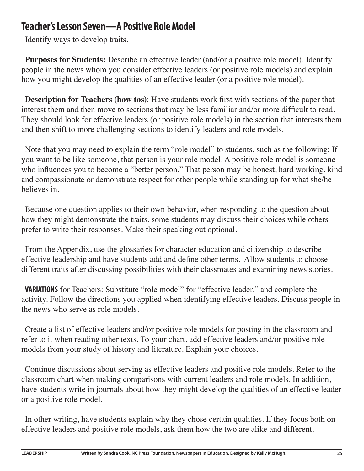#### **Teacher's Lesson Seven—A Positive Role Model**

Identify ways to develop traits.

**Purposes for Students:** Describe an effective leader (and/or a positive role model). Identify people in the news whom you consider effective leaders (or positive role models) and explain how you might develop the qualities of an effective leader (or a positive role model).

**Description for Teachers (how tos)**: Have students work first with sections of the paper that interest them and then move to sections that may be less familiar and/or more difficult to read. They should look for effective leaders (or positive role models) in the section that interests them and then shift to more challenging sections to identify leaders and role models.

Note that you may need to explain the term "role model" to students, such as the following: If you want to be like someone, that person is your role model. A positive role model is someone who influences you to become a "better person." That person may be honest, hard working, kind and compassionate or demonstrate respect for other people while standing up for what she/he believes in.

Because one question applies to their own behavior, when responding to the question about how they might demonstrate the traits, some students may discuss their choices while others prefer to write their responses. Make their speaking out optional.

From the Appendix, use the glossaries for character education and citizenship to describe effective leadership and have students add and define other terms. Allow students to choose different traits after discussing possibilities with their classmates and examining news stories.

**VARIATIONS** for Teachers: Substitute "role model" for "effective leader," and complete the activity. Follow the directions you applied when identifying effective leaders. Discuss people in the news who serve as role models.

Create a list of effective leaders and/or positive role models for posting in the classroom and refer to it when reading other texts. To your chart, add effective leaders and/or positive role models from your study of history and literature. Explain your choices.

Continue discussions about serving as effective leaders and positive role models. Refer to the classroom chart when making comparisons with current leaders and role models. In addition, have students write in journals about how they might develop the qualities of an effective leader or a positive role model.

In other writing, have students explain why they chose certain qualities. If they focus both on effective leaders and positive role models, ask them how the two are alike and different.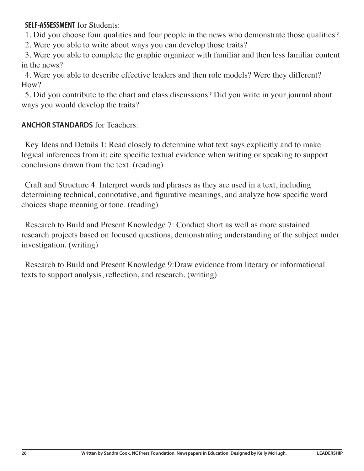**SELF-ASSESSMENT** for Students:

1. Did you choose four qualities and four people in the news who demonstrate those qualities?

2. Were you able to write about ways you can develop those traits?

3. Were you able to complete the graphic organizer with familiar and then less familiar content in the news?

4. Were you able to describe effective leaders and then role models? Were they different? How?

5. Did you contribute to the chart and class discussions? Did you write in your journal about ways you would develop the traits?

#### **ANCHOR STANDARDS** for Teachers:

Key Ideas and Details 1: Read closely to determine what text says explicitly and to make logical inferences from it; cite specific textual evidence when writing or speaking to support conclusions drawn from the text. (reading)

Craft and Structure 4: Interpret words and phrases as they are used in a text, including determining technical, connotative, and figurative meanings, and analyze how specific word choices shape meaning or tone. (reading)

Research to Build and Present Knowledge 7: Conduct short as well as more sustained research projects based on focused questions, demonstrating understanding of the subject under investigation. (writing)

Research to Build and Present Knowledge 9:Draw evidence from literary or informational texts to support analysis, reflection, and research. (writing)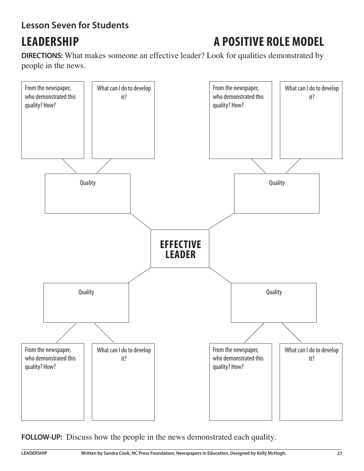#### **Lesson Seven for Students**

# **LEADERSHIP A POSITIVE ROLE MODEL**

**DIRECTIONS:** What makes someone an effective leader? Look for qualities demonstrated by people in the news.



**FOLLOW-UP:** Discuss how the people in the news demonstrated each quality.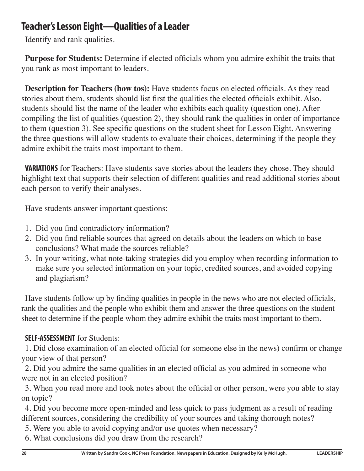### **Teacher's Lesson Eight—Qualities of a Leader**

Identify and rank qualities.

**Purpose for Students:** Determine if elected officials whom you admire exhibit the traits that you rank as most important to leaders.

**Description for Teachers (how tos):** Have students focus on elected officials. As they read stories about them, students should list first the qualities the elected officials exhibit. Also, students should list the name of the leader who exhibits each quality (question one). After compiling the list of qualities (question 2), they should rank the qualities in order of importance to them (question 3). See specific questions on the student sheet for Lesson Eight. Answering the three questions will allow students to evaluate their choices, determining if the people they admire exhibit the traits most important to them.

**VARIATIONS** for Teachers: Have students save stories about the leaders they chose. They should highlight text that supports their selection of different qualities and read additional stories about each person to verify their analyses.

Have students answer important questions:

- 1. Did you find contradictory information?
- 2. Did you find reliable sources that agreed on details about the leaders on which to base conclusions? What made the sources reliable?
- 3. In your writing, what note-taking strategies did you employ when recording information to make sure you selected information on your topic, credited sources, and avoided copying and plagiarism?

Have students follow up by finding qualities in people in the news who are not elected officials, rank the qualities and the people who exhibit them and answer the three questions on the student sheet to determine if the people whom they admire exhibit the traits most important to them.

#### **SELF-ASSESSMENT** for Students:

1. Did close examination of an elected official (or someone else in the news) confirm or change your view of that person?

2. Did you admire the same qualities in an elected official as you admired in someone who were not in an elected position?

3. When you read more and took notes about the official or other person, were you able to stay on topic?

4. Did you become more open-minded and less quick to pass judgment as a result of reading different sources, considering the credibility of your sources and taking thorough notes?

5. Were you able to avoid copying and/or use quotes when necessary?

6. What conclusions did you draw from the research?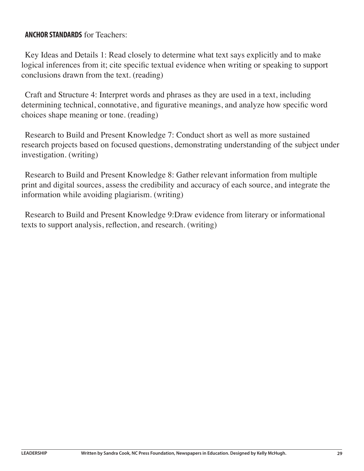#### **ANCHOR STANDARDS** for Teachers:

Key Ideas and Details 1: Read closely to determine what text says explicitly and to make logical inferences from it; cite specific textual evidence when writing or speaking to support conclusions drawn from the text. (reading)

Craft and Structure 4: Interpret words and phrases as they are used in a text, including determining technical, connotative, and figurative meanings, and analyze how specific word choices shape meaning or tone. (reading)

Research to Build and Present Knowledge 7: Conduct short as well as more sustained research projects based on focused questions, demonstrating understanding of the subject under investigation. (writing)

Research to Build and Present Knowledge 8: Gather relevant information from multiple print and digital sources, assess the credibility and accuracy of each source, and integrate the information while avoiding plagiarism. (writing)

Research to Build and Present Knowledge 9:Draw evidence from literary or informational texts to support analysis, reflection, and research. (writing)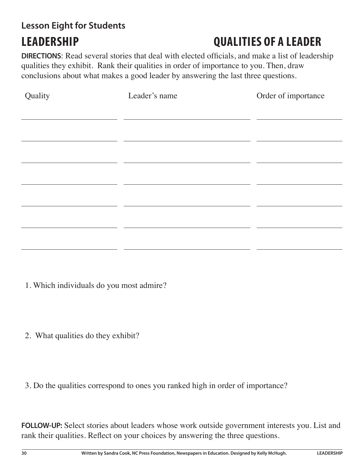# **Lesson Eight for Students**

# **LEADERSHIP QUALITIES OF A LEADER**

**DIRECTIONS**: Read several stories that deal with elected officials, and make a list of leadership qualities they exhibit. Rank their qualities in order of importance to you. Then, draw conclusions about what makes a good leader by answering the last three questions.

| Quality | Leader's name | Order of importance |  |
|---------|---------------|---------------------|--|
|         |               |                     |  |
|         |               |                     |  |
|         |               |                     |  |
|         |               |                     |  |
|         |               |                     |  |
|         |               |                     |  |
|         |               |                     |  |
|         |               |                     |  |
|         |               |                     |  |

- 1. Which individuals do you most admire?
- 2. What qualities do they exhibit?
- 3. Do the qualities correspond to ones you ranked high in order of importance?

**FOLLOW-UP:** Select stories about leaders whose work outside government interests you. List and rank their qualities. Reflect on your choices by answering the three questions.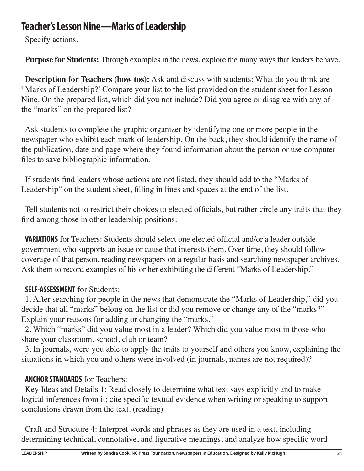### **Teacher's Lesson Nine—Marks of Leadership**

Specify actions.

**Purpose for Students:** Through examples in the news, explore the many ways that leaders behave.

**Description for Teachers (how tos):** Ask and discuss with students: What do you think are "Marks of Leadership?' Compare your list to the list provided on the student sheet for Lesson Nine. On the prepared list, which did you not include? Did you agree or disagree with any of the "marks" on the prepared list?

Ask students to complete the graphic organizer by identifying one or more people in the newspaper who exhibit each mark of leadership. On the back, they should identify the name of the publication, date and page where they found information about the person or use computer files to save bibliographic information.

If students find leaders whose actions are not listed, they should add to the "Marks of Leadership" on the student sheet, filling in lines and spaces at the end of the list.

Tell students not to restrict their choices to elected officials, but rather circle any traits that they find among those in other leadership positions.

**VARIATIONS** for Teachers: Students should select one elected official and/or a leader outside government who supports an issue or cause that interests them. Over time, they should follow coverage of that person, reading newspapers on a regular basis and searching newspaper archives. Ask them to record examples of his or her exhibiting the different "Marks of Leadership."

#### **SELF-ASSESSMENT** for Students:

1. After searching for people in the news that demonstrate the "Marks of Leadership," did you decide that all "marks" belong on the list or did you remove or change any of the "marks?" Explain your reasons for adding or changing the "marks."

2. Which "marks" did you value most in a leader? Which did you value most in those who share your classroom, school, club or team?

3. In journals, were you able to apply the traits to yourself and others you know, explaining the situations in which you and others were involved (in journals, names are not required)?

#### **ANCHOR STANDARDS** for Teachers:

Key Ideas and Details 1: Read closely to determine what text says explicitly and to make logical inferences from it; cite specific textual evidence when writing or speaking to support conclusions drawn from the text. (reading)

Craft and Structure 4: Interpret words and phrases as they are used in a text, including determining technical, connotative, and figurative meanings, and analyze how specific word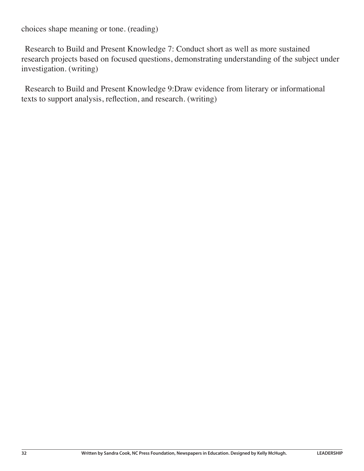choices shape meaning or tone. (reading)

Research to Build and Present Knowledge 7: Conduct short as well as more sustained research projects based on focused questions, demonstrating understanding of the subject under investigation. (writing)

Research to Build and Present Knowledge 9:Draw evidence from literary or informational texts to support analysis, reflection, and research. (writing)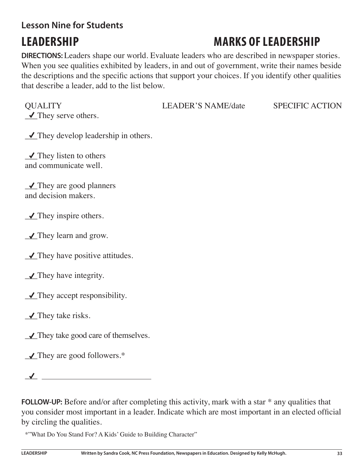#### **Lesson Nine for Students**

# **LEADERSHIP MARKS OF LEADERSHIP**

**DIRECTIONS:** Leaders shape our world. Evaluate leaders who are described in newspaper stories. When you see qualities exhibited by leaders, in and out of government, write their names beside the descriptions and the specific actions that support your choices. If you identify other qualities that describe a leader, add to the list below.

 $\checkmark$  They serve others.

QUALITY LEADER'S NAME/date SPECIFIC ACTION

 $\sqrt{\ }$  They develop leadership in others.

 $\sqrt{\ }$ They listen to others and communicate well.

 $\sqrt{\ }$  They are good planners and decision makers.

 $\checkmark$  They inspire others.

 $\sqrt{\ }$  They learn and grow.

 $\angle$  They have positive attitudes.

 $\angle$  They have integrity.

 $\sqrt{\ }$  They accept responsibility.

 $\checkmark$  They take risks.

 $\sqrt{\ }$  They take good care of themselves.

 $\sqrt{\ }$  They are good followers.\*

 $\overline{\mathcal{A}}$  and  $\overline{\mathcal{A}}$ 

**FOLLOW-UP:** Before and/or after completing this activity, mark with a star \* any qualities that you consider most important in a leader. Indicate which are most important in an elected official by circling the qualities.

\*"What Do You Stand For? A Kids' Guide to Building Character"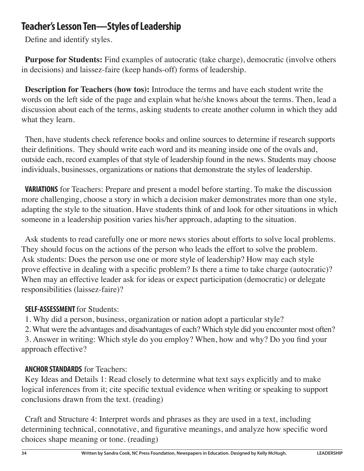### **Teacher's Lesson Ten—Styles of Leadership**

Define and identify styles.

**Purpose for Students:** Find examples of autocratic (take charge), democratic (involve others in decisions) and laissez-faire (keep hands-off) forms of leadership.

**Description for Teachers (how tos):** Introduce the terms and have each student write the words on the left side of the page and explain what he/she knows about the terms. Then, lead a discussion about each of the terms, asking students to create another column in which they add what they learn.

Then, have students check reference books and online sources to determine if research supports their definitions. They should write each word and its meaning inside one of the ovals and, outside each, record examples of that style of leadership found in the news. Students may choose individuals, businesses, organizations or nations that demonstrate the styles of leadership.

**VARIATIONS** for Teachers: Prepare and present a model before starting. To make the discussion more challenging, choose a story in which a decision maker demonstrates more than one style, adapting the style to the situation. Have students think of and look for other situations in which someone in a leadership position varies his/her approach, adapting to the situation.

Ask students to read carefully one or more news stories about efforts to solve local problems. They should focus on the actions of the person who leads the effort to solve the problem. Ask students: Does the person use one or more style of leadership? How may each style prove effective in dealing with a specific problem? Is there a time to take charge (autocratic)? When may an effective leader ask for ideas or expect participation (democratic) or delegate responsibilities (laissez-faire)?

#### **SELF-ASSESSMENT** for Students:

1. Why did a person, business, organization or nation adopt a particular style?

2. What were the advantages and disadvantages of each? Which style did you encounter most often?

3. Answer in writing: Which style do you employ? When, how and why? Do you find your approach effective?

#### **ANCHOR STANDARDS** for Teachers:

Key Ideas and Details 1: Read closely to determine what text says explicitly and to make logical inferences from it; cite specific textual evidence when writing or speaking to support conclusions drawn from the text. (reading)

Craft and Structure 4: Interpret words and phrases as they are used in a text, including determining technical, connotative, and figurative meanings, and analyze how specific word choices shape meaning or tone. (reading)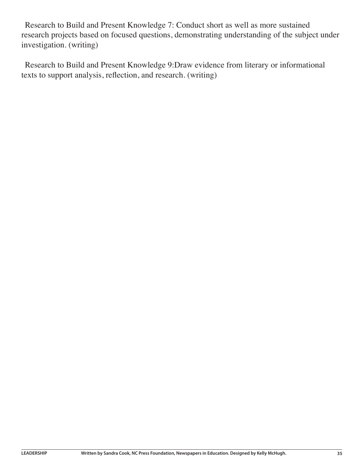Research to Build and Present Knowledge 7: Conduct short as well as more sustained research projects based on focused questions, demonstrating understanding of the subject under investigation. (writing)

Research to Build and Present Knowledge 9:Draw evidence from literary or informational texts to support analysis, reflection, and research. (writing)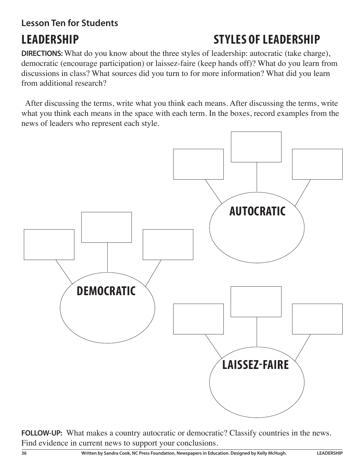#### **Lesson Ten for Students**

# **LEADERSHIP STYLES OF LEADERSHIP**

**DIRECTIONS:** What do you know about the three styles of leadership: autocratic (take charge), democratic (encourage participation) or laissez-faire (keep hands off)? What do you learn from discussions in class? What sources did you turn to for more information? What did you learn from additional research?

After discussing the terms, write what you think each means. After discussing the terms, write what you think each means in the space with each term. In the boxes, record examples from the news of leaders who represent each style.



FOLLOW-UP: What makes a country autocratic or democratic? Classify countries in the news. Find evidence in current news to support your conclusions.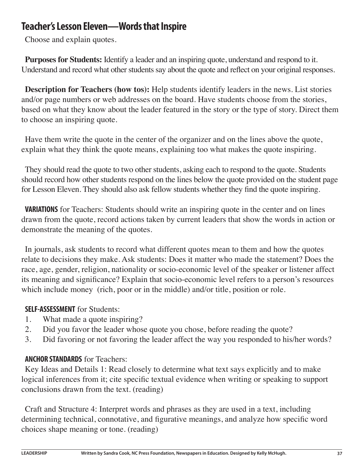### **Teacher's Lesson Eleven—Words that Inspire**

Choose and explain quotes.

**Purposes for Students:** Identify a leader and an inspiring quote, understand and respond to it. Understand and record what other students say about the quote and reflect on your original responses.

**Description for Teachers (how tos):** Help students identify leaders in the news. List stories and/or page numbers or web addresses on the board. Have students choose from the stories, based on what they know about the leader featured in the story or the type of story. Direct them to choose an inspiring quote.

Have them write the quote in the center of the organizer and on the lines above the quote, explain what they think the quote means, explaining too what makes the quote inspiring.

They should read the quote to two other students, asking each to respond to the quote. Students should record how other students respond on the lines below the quote provided on the student page for Lesson Eleven. They should also ask fellow students whether they find the quote inspiring.

**VARIATIONS** for Teachers: Students should write an inspiring quote in the center and on lines drawn from the quote, record actions taken by current leaders that show the words in action or demonstrate the meaning of the quotes.

In journals, ask students to record what different quotes mean to them and how the quotes relate to decisions they make. Ask students: Does it matter who made the statement? Does the race, age, gender, religion, nationality or socio-economic level of the speaker or listener affect its meaning and significance? Explain that socio-economic level refers to a person's resources which include money (rich, poor or in the middle) and/or title, position or role.

#### **SELF-ASSESSMENT** for Students:

- 1. What made a quote inspiring?
- 2. Did you favor the leader whose quote you chose, before reading the quote?
- 3. Did favoring or not favoring the leader affect the way you responded to his/her words?

#### **ANCHOR STANDARDS** for Teachers:

Key Ideas and Details 1: Read closely to determine what text says explicitly and to make logical inferences from it; cite specific textual evidence when writing or speaking to support conclusions drawn from the text. (reading)

Craft and Structure 4: Interpret words and phrases as they are used in a text, including determining technical, connotative, and figurative meanings, and analyze how specific word choices shape meaning or tone. (reading)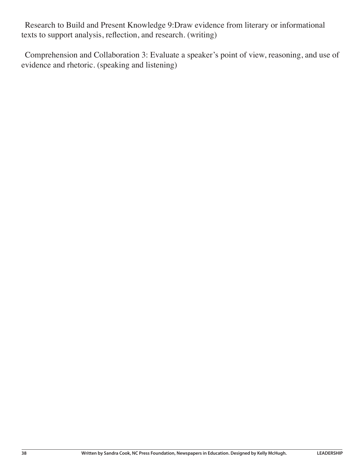Research to Build and Present Knowledge 9:Draw evidence from literary or informational texts to support analysis, reflection, and research. (writing)

Comprehension and Collaboration 3: Evaluate a speaker's point of view, reasoning, and use of evidence and rhetoric. (speaking and listening)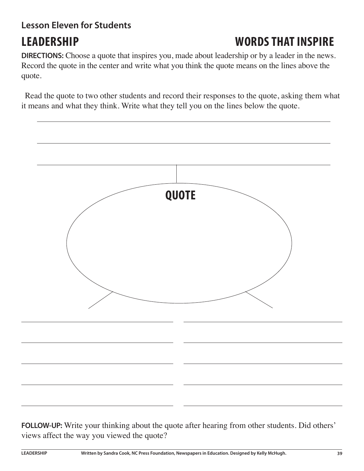### **Lesson Eleven for Students**

# **LEADERSHIP WORDS THAT INSPIRE**

**DIRECTIONS:** Choose a quote that inspires you, made about leadership or by a leader in the news. Record the quote in the center and write what you think the quote means on the lines above the quote.

Read the quote to two other students and record their responses to the quote, asking them what it means and what they think. Write what they tell you on the lines below the quote.



**FOLLOW-UP:** Write your thinking about the quote after hearing from other students. Did others' views affect the way you viewed the quote?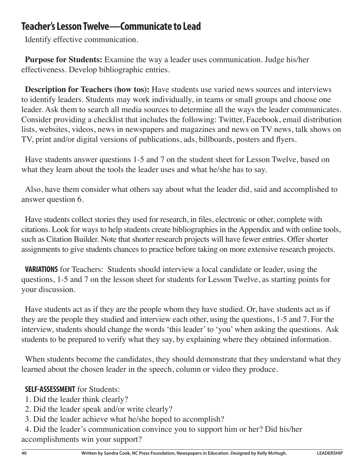#### **Teacher's Lesson Twelve—Communicate to Lead**

Identify effective communication.

**Purpose for Students:** Examine the way a leader uses communication. Judge his/her effectiveness. Develop bibliographic entries.

**Description for Teachers (how tos):** Have students use varied news sources and interviews to identify leaders. Students may work individually, in teams or small groups and choose one leader. Ask them to search all media sources to determine all the ways the leader communicates. Consider providing a checklist that includes the following: Twitter, Facebook, email distribution lists, websites, videos, news in newspapers and magazines and news on TV news, talk shows on TV, print and/or digital versions of publications, ads, billboards, posters and flyers.

Have students answer questions 1-5 and 7 on the student sheet for Lesson Twelve, based on what they learn about the tools the leader uses and what he/she has to say.

Also, have them consider what others say about what the leader did, said and accomplished to answer question 6.

Have students collect stories they used for research, in files, electronic or other, complete with citations. Look for ways to help students create bibliographies in the Appendix and with online tools, such as Citation Builder. Note that shorter research projects will have fewer entries. Offer shorter assignments to give students chances to practice before taking on more extensive research projects.

**VARIATIONS** for Teachers: Students should interview a local candidate or leader, using the questions, 1-5 and 7 on the lesson sheet for students for Lesson Twelve, as starting points for your discussion.

Have students act as if they are the people whom they have studied. Or, have students act as if they are the people they studied and interview each other, using the questions, 1-5 and 7. For the interview, students should change the words 'this leader' to 'you' when asking the questions. Ask students to be prepared to verify what they say, by explaining where they obtained information.

When students become the candidates, they should demonstrate that they understand what they learned about the chosen leader in the speech, column or video they produce.

#### **SELF-ASSESSMENT** for Students:

- 1. Did the leader think clearly?
- 2. Did the leader speak and/or write clearly?
- 3. Did the leader achieve what he/she hoped to accomplish?

4. Did the leader's communication convince you to support him or her? Did his/her accomplishments win your support?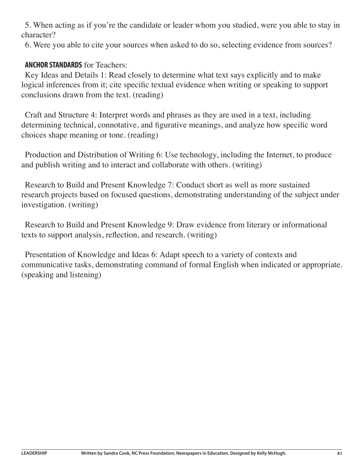5. When acting as if you're the candidate or leader whom you studied, were you able to stay in character?

6. Were you able to cite your sources when asked to do so, selecting evidence from sources?

#### **ANCHOR STANDARDS** for Teachers:

Key Ideas and Details 1: Read closely to determine what text says explicitly and to make logical inferences from it; cite specific textual evidence when writing or speaking to support conclusions drawn from the text. (reading)

Craft and Structure 4: Interpret words and phrases as they are used in a text, including determining technical, connotative, and figurative meanings, and analyze how specific word choices shape meaning or tone. (reading)

Production and Distribution of Writing 6: Use technology, including the Internet, to produce and publish writing and to interact and collaborate with others. (writing)

Research to Build and Present Knowledge 7: Conduct short as well as more sustained research projects based on focused questions, demonstrating understanding of the subject under investigation. (writing)

Research to Build and Present Knowledge 9: Draw evidence from literary or informational texts to support analysis, reflection, and research. (writing)

Presentation of Knowledge and Ideas 6: Adapt speech to a variety of contexts and communicative tasks, demonstrating command of formal English when indicated or appropriate. (speaking and listening)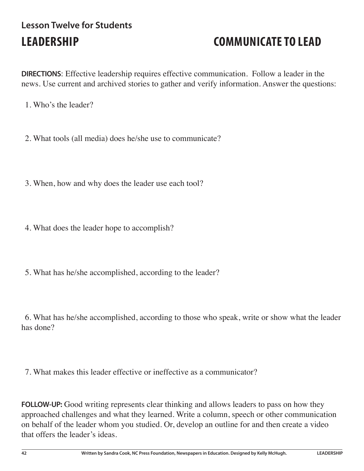## **Lesson Twelve for Students LEADERSHIP COMMUNICATE TO LEAD**

**DIRECTIONS**: Effective leadership requires effective communication. Follow a leader in the news. Use current and archived stories to gather and verify information. Answer the questions:

- 1. Who's the leader?
- 2. What tools (all media) does he/she use to communicate?
- 3. When, how and why does the leader use each tool?
- 4. What does the leader hope to accomplish?
- 5. What has he/she accomplished, according to the leader?

6. What has he/she accomplished, according to those who speak, write or show what the leader has done?

7. What makes this leader effective or ineffective as a communicator?

**FOLLOW-UP:** Good writing represents clear thinking and allows leaders to pass on how they approached challenges and what they learned. Write a column, speech or other communication on behalf of the leader whom you studied. Or, develop an outline for and then create a video that offers the leader's ideas.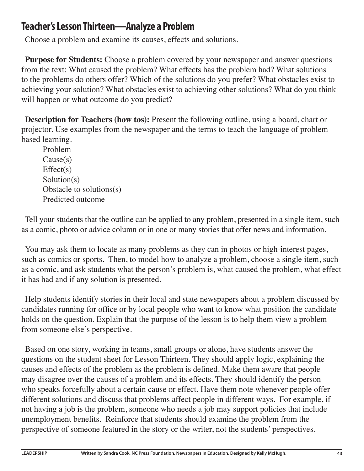#### **Teacher's Lesson Thirteen—Analyze a Problem**

Choose a problem and examine its causes, effects and solutions.

**Purpose for Students:** Choose a problem covered by your newspaper and answer questions from the text: What caused the problem? What effects has the problem had? What solutions to the problems do others offer? Which of the solutions do you prefer? What obstacles exist to achieving your solution? What obstacles exist to achieving other solutions? What do you think will happen or what outcome do you predict?

**Description for Teachers (how tos):** Present the following outline, using a board, chart or projector. Use examples from the newspaper and the terms to teach the language of problembased learning.

Problem Cause(s)  $Effect(s)$ Solution(s) Obstacle to solutions(s) Predicted outcome

Tell your students that the outline can be applied to any problem, presented in a single item, such as a comic, photo or advice column or in one or many stories that offer news and information.

You may ask them to locate as many problems as they can in photos or high-interest pages, such as comics or sports. Then, to model how to analyze a problem, choose a single item, such as a comic, and ask students what the person's problem is, what caused the problem, what effect it has had and if any solution is presented.

Help students identify stories in their local and state newspapers about a problem discussed by candidates running for office or by local people who want to know what position the candidate holds on the question. Explain that the purpose of the lesson is to help them view a problem from someone else's perspective.

Based on one story, working in teams, small groups or alone, have students answer the questions on the student sheet for Lesson Thirteen. They should apply logic, explaining the causes and effects of the problem as the problem is defined. Make them aware that people may disagree over the causes of a problem and its effects. They should identify the person who speaks forcefully about a certain cause or effect. Have them note whenever people offer different solutions and discuss that problems affect people in different ways. For example, if not having a job is the problem, someone who needs a job may support policies that include unemployment benefits. Reinforce that students should examine the problem from the perspective of someone featured in the story or the writer, not the students' perspectives.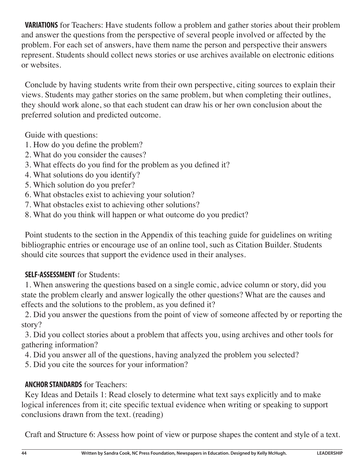**VARIATIONS** for Teachers: Have students follow a problem and gather stories about their problem and answer the questions from the perspective of several people involved or affected by the problem. For each set of answers, have them name the person and perspective their answers represent. Students should collect news stories or use archives available on electronic editions or websites.

Conclude by having students write from their own perspective, citing sources to explain their views. Students may gather stories on the same problem, but when completing their outlines, they should work alone, so that each student can draw his or her own conclusion about the preferred solution and predicted outcome.

Guide with questions:

- 1. How do you define the problem?
- 2. What do you consider the causes?
- 3. What effects do you find for the problem as you defined it?
- 4. What solutions do you identify?
- 5. Which solution do you prefer?
- 6. What obstacles exist to achieving your solution?
- 7. What obstacles exist to achieving other solutions?
- 8. What do you think will happen or what outcome do you predict?

Point students to the section in the Appendix of this teaching guide for guidelines on writing bibliographic entries or encourage use of an online tool, such as Citation Builder. Students should cite sources that support the evidence used in their analyses.

#### **SELF-ASSESSMENT** for Students:

1. When answering the questions based on a single comic, advice column or story, did you state the problem clearly and answer logically the other questions? What are the causes and effects and the solutions to the problem, as you defined it?

2. Did you answer the questions from the point of view of someone affected by or reporting the story?

3. Did you collect stories about a problem that affects you, using archives and other tools for gathering information?

4. Did you answer all of the questions, having analyzed the problem you selected?

5. Did you cite the sources for your information?

#### **ANCHOR STANDARDS** for Teachers:

Key Ideas and Details 1: Read closely to determine what text says explicitly and to make logical inferences from it; cite specific textual evidence when writing or speaking to support conclusions drawn from the text. (reading)

Craft and Structure 6: Assess how point of view or purpose shapes the content and style of a text.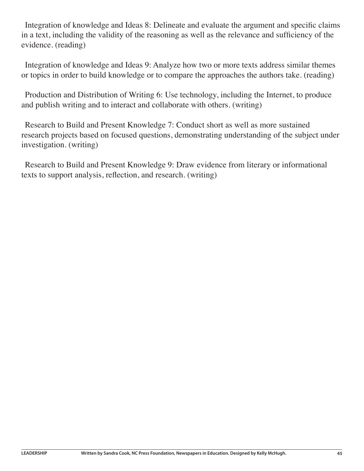Integration of knowledge and Ideas 8: Delineate and evaluate the argument and specific claims in a text, including the validity of the reasoning as well as the relevance and sufficiency of the evidence. (reading)

Integration of knowledge and Ideas 9: Analyze how two or more texts address similar themes or topics in order to build knowledge or to compare the approaches the authors take. (reading)

Production and Distribution of Writing 6: Use technology, including the Internet, to produce and publish writing and to interact and collaborate with others. (writing)

Research to Build and Present Knowledge 7: Conduct short as well as more sustained research projects based on focused questions, demonstrating understanding of the subject under investigation. (writing)

Research to Build and Present Knowledge 9: Draw evidence from literary or informational texts to support analysis, reflection, and research. (writing)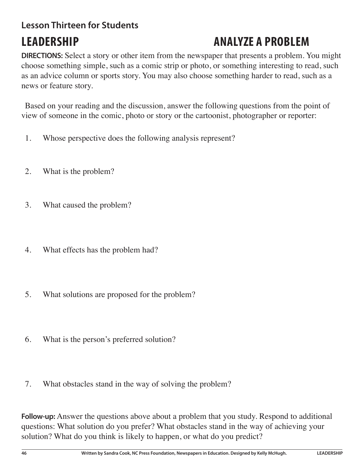## **Lesson Thirteen for Students**

# **LEADERSHIP ANALYZE A PROBLEM**

**DIRECTIONS:** Select a story or other item from the newspaper that presents a problem. You might choose something simple, such as a comic strip or photo, or something interesting to read, such as an advice column or sports story. You may also choose something harder to read, such as a news or feature story.

Based on your reading and the discussion, answer the following questions from the point of view of someone in the comic, photo or story or the cartoonist, photographer or reporter:

- 1. Whose perspective does the following analysis represent?
- 2. What is the problem?
- 3. What caused the problem?
- 4. What effects has the problem had?
- 5. What solutions are proposed for the problem?
- 6. What is the person's preferred solution?
- 7. What obstacles stand in the way of solving the problem?

**Follow-up:** Answer the questions above about a problem that you study. Respond to additional questions: What solution do you prefer? What obstacles stand in the way of achieving your solution? What do you think is likely to happen, or what do you predict?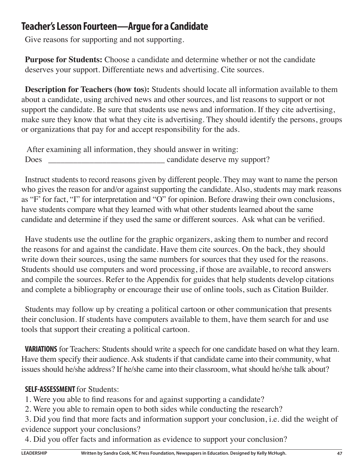### **Teacher's Lesson Fourteen—Argue for a Candidate**

Give reasons for supporting and not supporting.

**Purpose for Students:** Choose a candidate and determine whether or not the candidate deserves your support. Differentiate news and advertising. Cite sources.

**Description for Teachers (how tos):** Students should locate all information available to them about a candidate, using archived news and other sources, and list reasons to support or not support the candidate. Be sure that students use news and information. If they cite advertising, make sure they know that what they cite is advertising. They should identify the persons, groups or organizations that pay for and accept responsibility for the ads.

 After examining all information, they should answer in writing: Does candidate deserve my support?

Instruct students to record reasons given by different people. They may want to name the person who gives the reason for and/or against supporting the candidate. Also, students may mark reasons as "F' for fact, "I" for interpretation and "O" for opinion. Before drawing their own conclusions, have students compare what they learned with what other students learned about the same candidate and determine if they used the same or different sources. Ask what can be verified.

Have students use the outline for the graphic organizers, asking them to number and record the reasons for and against the candidate. Have them cite sources. On the back, they should write down their sources, using the same numbers for sources that they used for the reasons. Students should use computers and word processing, if those are available, to record answers and compile the sources. Refer to the Appendix for guides that help students develop citations and complete a bibliography or encourage their use of online tools, such as Citation Builder.

Students may follow up by creating a political cartoon or other communication that presents their conclusion. If students have computers available to them, have them search for and use tools that support their creating a political cartoon.

**VARIATIONS** for Teachers: Students should write a speech for one candidate based on what they learn. Have them specify their audience. Ask students if that candidate came into their community, what issues should he/she address? If he/she came into their classroom, what should he/she talk about?

#### **SELF-ASSESSMENT** for Students:

1. Were you able to find reasons for and against supporting a candidate?

2. Were you able to remain open to both sides while conducting the research?

3. Did you find that more facts and information support your conclusion, i.e. did the weight of evidence support your conclusions?

4. Did you offer facts and information as evidence to support your conclusion?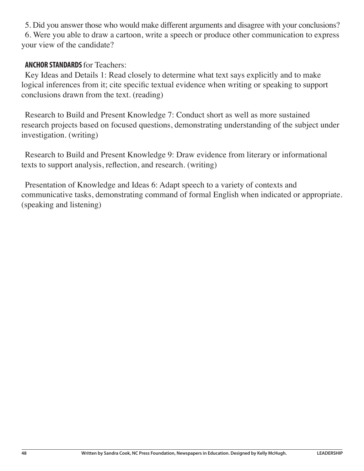5. Did you answer those who would make different arguments and disagree with your conclusions? 6. Were you able to draw a cartoon, write a speech or produce other communication to express your view of the candidate?

#### **ANCHOR STANDARDS** for Teachers:

Key Ideas and Details 1: Read closely to determine what text says explicitly and to make logical inferences from it; cite specific textual evidence when writing or speaking to support conclusions drawn from the text. (reading)

Research to Build and Present Knowledge 7: Conduct short as well as more sustained research projects based on focused questions, demonstrating understanding of the subject under investigation. (writing)

Research to Build and Present Knowledge 9: Draw evidence from literary or informational texts to support analysis, reflection, and research. (writing)

Presentation of Knowledge and Ideas 6: Adapt speech to a variety of contexts and communicative tasks, demonstrating command of formal English when indicated or appropriate. (speaking and listening)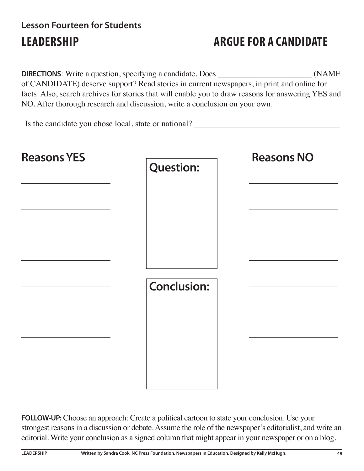## **Lesson Fourteen for Students LEADERSHIP ARGUE FOR A CANDIDATE**

**DIRECTIONS**: Write a question, specifying a candidate. Does \_\_\_\_\_\_\_\_\_\_\_\_\_\_\_\_\_\_\_\_ (NAME of CANDIDATE) deserve support? Read stories in current newspapers, in print and online for facts. Also, search archives for stories that will enable you to draw reasons for answering YES and NO. After thorough research and discussion, write a conclusion on your own.

Is the candidate you chose local, state or national?

| <b>Reasons YES</b> | <b>Question:</b>   | <b>Reasons NO</b> |
|--------------------|--------------------|-------------------|
|                    | <b>Conclusion:</b> |                   |

**FOLLOW-UP:** Choose an approach: Create a political cartoon to state your conclusion. Use your strongest reasons in a discussion or debate. Assume the role of the newspaper's editorialist, and write an editorial. Write your conclusion as a signed column that might appear in your newspaper or on a blog.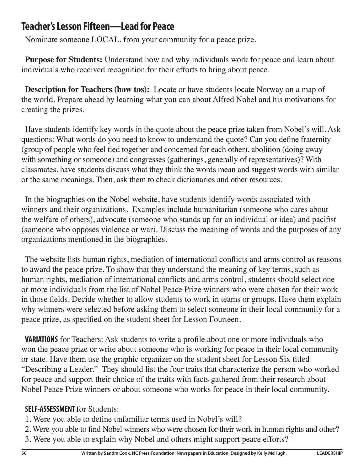### **Teacher's Lesson Fifteen—Lead for Peace**

Nominate someone LOCAL, from your community for a peace prize.

**Purpose for Students:** Understand how and why individuals work for peace and learn about individuals who received recognition for their efforts to bring about peace.

**Description for Teachers (how tos):** Locate or have students locate Norway on a map of the world. Prepare ahead by learning what you can about Alfred Nobel and his motivations for creating the prizes.

Have students identify key words in the quote about the peace prize taken from Nobel's will. Ask questions: What words do you need to know to understand the quote? Can you define fraternity (group of people who feel tied together and concerned for each other), abolition (doing away with something or someone) and congresses (gatherings, generally of representatives)? With classmates, have students discuss what they think the words mean and suggest words with similar or the same meanings. Then, ask them to check dictionaries and other resources.

In the biographies on the Nobel website, have students identify words associated with winners and their organizations. Examples include humanitarian (someone who cares about the welfare of others), advocate (someone who stands up for an individual or idea) and pacifist (someone who opposes violence or war). Discuss the meaning of words and the purposes of any organizations mentioned in the biographies.

The website lists human rights, mediation of international conflicts and arms control as reasons to award the peace prize. To show that they understand the meaning of key terms, such as human rights, mediation of international conflicts and arms control, students should select one or more individuals from the list of Nobel Peace Prize winners who were chosen for their work in those fields. Decide whether to allow students to work in teams or groups. Have them explain why winners were selected before asking them to select someone in their local community for a peace prize, as specified on the student sheet for Lesson Fourteen.

**VARIATIONS** for Teachers: Ask students to write a profile about one or more individuals who won the peace prize or write about someone who is working for peace in their local community or state. Have them use the graphic organizer on the student sheet for Lesson Six titled "Describing a Leader." They should list the four traits that characterize the person who worked for peace and support their choice of the traits with facts gathered from their research about Nobel Peace Prize winners or about someone who works for peace in their local community.

#### **SELF-ASSESSMENT** for Students:

- 1. Were you able to define unfamiliar terms used in Nobel's will?
- 2. Were you able to find Nobel winners who were chosen for their work in human rights and other?
- 3. Were you able to explain why Nobel and others might support peace efforts?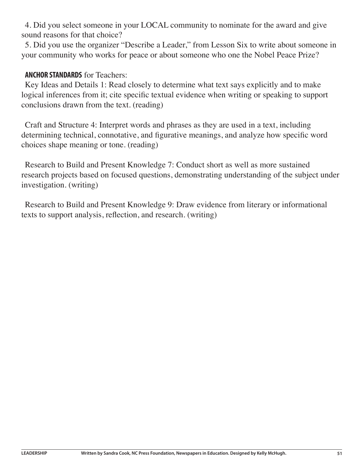4. Did you select someone in your LOCAL community to nominate for the award and give sound reasons for that choice?

5. Did you use the organizer "Describe a Leader," from Lesson Six to write about someone in your community who works for peace or about someone who one the Nobel Peace Prize?

#### **ANCHOR STANDARDS** for Teachers:

Key Ideas and Details 1: Read closely to determine what text says explicitly and to make logical inferences from it; cite specific textual evidence when writing or speaking to support conclusions drawn from the text. (reading)

Craft and Structure 4: Interpret words and phrases as they are used in a text, including determining technical, connotative, and figurative meanings, and analyze how specific word choices shape meaning or tone. (reading)

Research to Build and Present Knowledge 7: Conduct short as well as more sustained research projects based on focused questions, demonstrating understanding of the subject under investigation. (writing)

Research to Build and Present Knowledge 9: Draw evidence from literary or informational texts to support analysis, reflection, and research. (writing)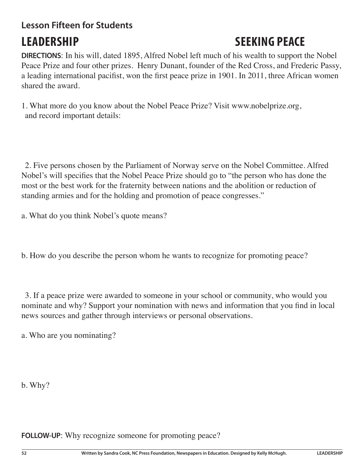# **Lesson Fifteen for Students**

# **LEADERSHIP SEEKING PEACE**

**DIRECTIONS**: In his will, dated 1895, Alfred Nobel left much of his wealth to support the Nobel Peace Prize and four other prizes. Henry Dunant, founder of the Red Cross, and Frederic Passy, a leading international pacifist, won the first peace prize in 1901. In 2011, three African women shared the award.

1. What more do you know about the Nobel Peace Prize? Visit www.nobelprize.org, and record important details:

2. Five persons chosen by the Parliament of Norway serve on the Nobel Committee. Alfred Nobel's will specifies that the Nobel Peace Prize should go to "the person who has done the most or the best work for the fraternity between nations and the abolition or reduction of standing armies and for the holding and promotion of peace congresses."

a. What do you think Nobel's quote means?

b. How do you describe the person whom he wants to recognize for promoting peace?

3. If a peace prize were awarded to someone in your school or community, who would you nominate and why? Support your nomination with news and information that you find in local news sources and gather through interviews or personal observations.

a. Who are you nominating?

b. Why?

**FOLLOW-UP:** Why recognize someone for promoting peace?